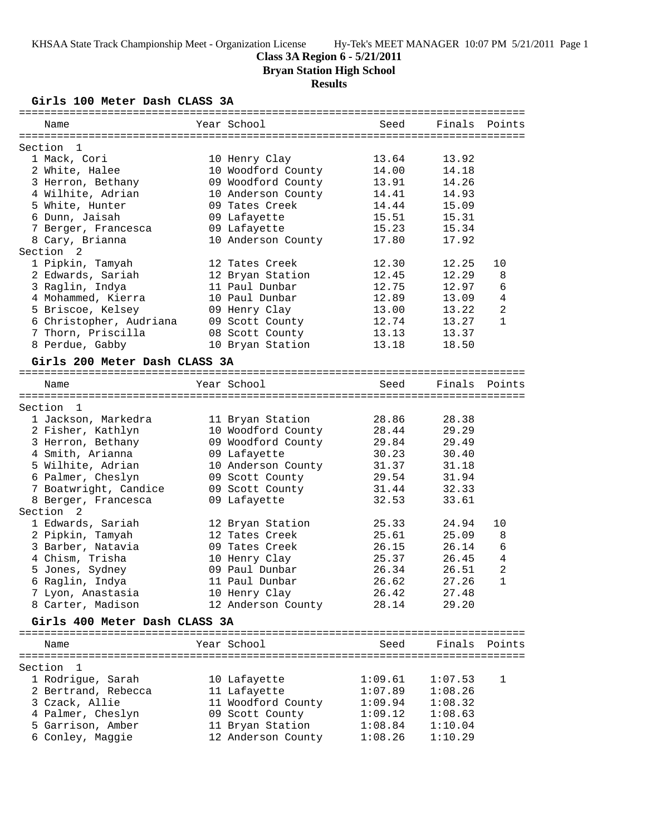### **Class 3A Region 6 - 5/21/2011**

**Bryan Station High School**

# **Results**

**Girls 100 Meter Dash CLASS 3A**

| Name                                | Year School                          | Seed           | Finals         | Points       |
|-------------------------------------|--------------------------------------|----------------|----------------|--------------|
|                                     |                                      |                |                |              |
| Section<br>- 1                      |                                      |                |                |              |
| 1 Mack, Cori                        | 10 Henry Clay                        | 13.64          | 13.92          |              |
| 2 White, Halee<br>3 Herron, Bethany | 10 Woodford County                   | 14.00<br>13.91 | 14.18<br>14.26 |              |
|                                     | 09 Woodford County                   | 14.41          | 14.93          |              |
| 4 Wilhite, Adrian                   | 10 Anderson County<br>09 Tates Creek | 14.44          |                |              |
| 5 White, Hunter                     |                                      |                | 15.09          |              |
| 6 Dunn, Jaisah                      | 09 Lafayette                         | 15.51          | 15.31          |              |
| 7 Berger, Francesca                 | 09 Lafayette                         | 15.23          | 15.34          |              |
| 8 Cary, Brianna                     | 10 Anderson County                   | 17.80          | 17.92          |              |
| 2<br>Section                        |                                      |                |                |              |
| 1 Pipkin, Tamyah                    | 12 Tates Creek                       | 12.30          | 12.25          | 10           |
| 2 Edwards, Sariah                   | 12 Bryan Station                     | 12.45          | 12.29          | 8            |
| 3 Raglin, Indya                     | 11 Paul Dunbar                       | 12.75          | 12.97          | 6            |
| 4 Mohammed, Kierra                  | 10 Paul Dunbar                       | 12.89          | 13.09          | 4            |
| 5 Briscoe, Kelsey                   | 09 Henry Clay                        | 13.00          | 13.22          | 2            |
| 6 Christopher, Audriana             | 09 Scott County                      | 12.74          | 13.27          | $\mathbf{1}$ |
| 7 Thorn, Priscilla                  | 08 Scott County                      | 13.13          | 13.37          |              |
| 8 Perdue, Gabby                     | 10 Bryan Station                     | 13.18          | 18.50          |              |
| Girls 200 Meter Dash CLASS 3A       |                                      |                |                |              |
| Name                                | Year School                          | Seed           | Finals         | Points       |
|                                     |                                      |                |                |              |
| Section<br>- 1                      |                                      |                |                |              |
| 1 Jackson, Markedra                 | 11 Bryan Station                     | 28.86          | 28.38          |              |
| 2 Fisher, Kathlyn                   | 10 Woodford County                   | 28.44          | 29.29          |              |
| 3 Herron, Bethany                   | 09 Woodford County                   | 29.84          | 29.49          |              |
| 4 Smith, Arianna                    | 09 Lafayette                         | 30.23          | 30.40          |              |
| 5 Wilhite, Adrian                   | 10 Anderson County                   | 31.37          | 31.18          |              |
| 6 Palmer, Cheslyn                   | 09 Scott County                      | 29.54          | 31.94          |              |
| 7 Boatwright, Candice               | 09 Scott County                      | 31.44          | 32.33          |              |
| 8 Berger, Francesca                 | 09 Lafayette                         | 32.53          | 33.61          |              |
| Section<br>2                        |                                      |                |                |              |
| 1 Edwards, Sariah                   | 12 Bryan Station                     | 25.33          | 24.94          | 10           |
| 2 Pipkin, Tamyah                    | 12 Tates Creek                       | 25.61          | 25.09          | 8            |
| 3 Barber, Natavia                   | 09 Tates Creek                       | 26.15          | 26.14          | 6            |
| 4 Chism, Trisha                     | 10 Henry Clay                        | 25.37          | 26.45          | 4            |
| 5 Jones, Sydney                     | 09 Paul Dunbar                       | 26.34          | 26.51          | 2            |
| 6 Raglin, Indya                     | 11 Paul Dunbar                       | 26.62          | 27.26          | $\mathbf{1}$ |
| 7 Lyon, Anastasia                   | 10 Henry Clay                        | 26.42          | 27.48          |              |
| 8 Carter, Madison                   | 12 Anderson County                   | 28.14          | 29.20          |              |
| Girls 400 Meter Dash CLASS 3A       |                                      |                |                |              |
|                                     |                                      |                |                |              |
| Name                                | Year School                          | Seed           | Finals Points  |              |
| Section<br>1                        |                                      |                |                |              |
| 1 Rodrigue, Sarah                   | 10 Lafayette                         | 1:09.61        | 1:07.53        | 1            |
| 2 Bertrand, Rebecca                 | 11 Lafayette                         | 1:07.89        | 1:08.26        |              |
| 3 Czack, Allie                      | 11 Woodford County                   | 1:09.94        | 1:08.32        |              |
| 4 Palmer, Cheslyn                   | 09 Scott County                      | 1:09.12        | 1:08.63        |              |
| 5 Garrison, Amber                   | 11 Bryan Station                     | 1:08.84        | 1:10.04        |              |
| 6 Conley, Maggie                    | 12 Anderson County                   | 1:08.26        | 1:10.29        |              |
|                                     |                                      |                |                |              |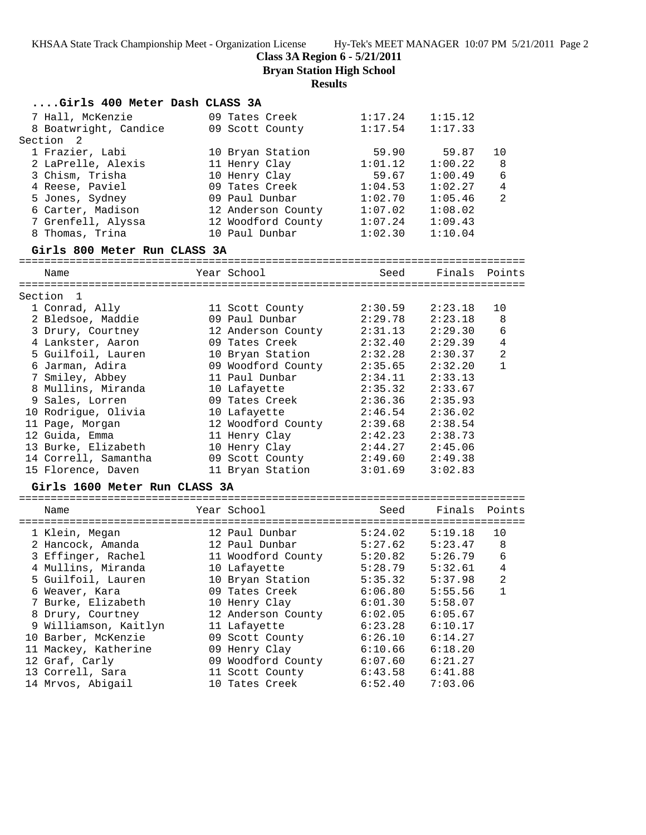**Class 3A Region 6 - 5/21/2011**

**Bryan Station High School**

## **Results**

| Girls 400 Meter Dash CLASS 3A |                            |         |         |                |
|-------------------------------|----------------------------|---------|---------|----------------|
| 7 Hall, McKenzie              | 09 Tates Creek             | 1:17.24 | 1:15.12 |                |
| 8 Boatwright, Candice         | 09 Scott County            | 1:17.54 | 1:17.33 |                |
| Section<br>2                  |                            |         |         |                |
| 1 Frazier, Labi               | 10 Bryan Station           | 59.90   | 59.87   | 10             |
| 2 LaPrelle, Alexis            | 11 Henry Clay              | 1:01.12 | 1:00.22 | 8              |
| 3 Chism, Trisha               | 10 Henry Clay              | 59.67   | 1:00.49 | 6              |
| 4 Reese, Paviel               | 09 Tates Creek             | 1:04.53 | 1:02.27 | 4              |
| 5 Jones, Sydney               | 09 Paul Dunbar             | 1:02.70 | 1:05.46 | 2              |
| 6 Carter, Madison             | 12 Anderson County         | 1:07.02 | 1:08.02 |                |
| 7 Grenfell, Alyssa            | 12 Woodford County         | 1:07.24 | 1:09.43 |                |
| 8 Thomas, Trina               | 10 Paul Dunbar             | 1:02.30 | 1:10.04 |                |
| Girls 800 Meter Run CLASS 3A  |                            |         |         |                |
| Name                          | Year School                | Seed    | Finals  | Points         |
|                               |                            |         |         |                |
| Section 1                     |                            |         |         |                |
| 1 Conrad, Ally                | 11 Scott County            | 2:30.59 | 2:23.18 | 10             |
| 2 Bledsoe, Maddie             | 09 Paul Dunbar             | 2:29.78 | 2:23.18 | 8              |
| 3 Drury, Courtney             | 12 Anderson County         | 2:31.13 | 2:29.30 | 6              |
| 4 Lankster, Aaron             | 09 Tates Creek             | 2:32.40 | 2:29.39 | $\overline{4}$ |
| 5 Guilfoil, Lauren            | 10 Bryan Station           | 2:32.28 | 2:30.37 | 2              |
| 6 Jarman, Adira               | 09 Woodford County         | 2:35.65 | 2:32.20 | $\mathbf{1}$   |
| 7 Smiley, Abbey               | 11 Paul Dunbar             | 2:34.11 | 2:33.13 |                |
| 8 Mullins, Miranda            | 10 Lafayette               | 2:35.32 | 2:33.67 |                |
| 9 Sales, Lorren               | 09 Tates Creek             | 2:36.36 | 2:35.93 |                |
| 10 Rodrigue, Olivia           | 10 Lafayette               | 2:46.54 | 2:36.02 |                |
| 11 Page, Morgan               | 12 Woodford County         | 2:39.68 | 2:38.54 |                |
| 12 Guida, Emma                | 11 Henry Clay              | 2:42.23 | 2:38.73 |                |
| 13 Burke, Elizabeth           | 10 Henry Clay              | 2:44.27 | 2:45.06 |                |
| 14 Correll, Samantha          | 09 Scott County            | 2:49.60 | 2:49.38 |                |
| 15 Florence, Daven            | 11 Bryan Station           | 3:01.69 | 3:02.83 |                |
| Girls 1600 Meter Run CLASS 3A |                            |         |         |                |
| Name                          | Year School                | Seed    | Finals  | Points         |
| 1 Klein, Megan                | 12 Paul Dunbar             | 5:24.02 | 5:19.18 | 10             |
| 2 Hancock, Amanda             | 12 Paul Dunbar             | 5:27.62 | 5:23.47 | 8              |
| 3 Effinger, Rachel            | 11 Woodford County 5:20.82 |         | 5:26.79 | 6              |
| 4 Mullins, Miranda            | 10 Lafayette               | 5:28.79 | 5:32.61 | $\overline{4}$ |
| 5 Guilfoil, Lauren            | 10 Bryan Station           | 5:35.32 | 5:37.98 | 2              |
| 6 Weaver, Kara                | 09 Tates Creek             | 6:06.80 | 5:55.56 | 1              |
| 7 Burke, Elizabeth            | 10 Henry Clay              | 6:01.30 | 5:58.07 |                |
| 8 Drury, Courtney             | 12 Anderson County         | 6:02.05 | 6:05.67 |                |
| 9 Williamson, Kaitlyn         | 11 Lafayette               | 6:23.28 | 6:10.17 |                |
| 10 Barber, McKenzie           | 09 Scott County            | 6:26.10 | 6:14.27 |                |
| 11 Mackey, Katherine          | 09 Henry Clay              | 6:10.66 | 6:18.20 |                |
| 12 Graf, Carly                | 09 Woodford County         | 6:07.60 | 6:21.27 |                |
| 13 Correll, Sara              | 11 Scott County            | 6:43.58 | 6:41.88 |                |
| 14 Mrvos, Abigail             | 10 Tates Creek             | 6:52.40 | 7:03.06 |                |
|                               |                            |         |         |                |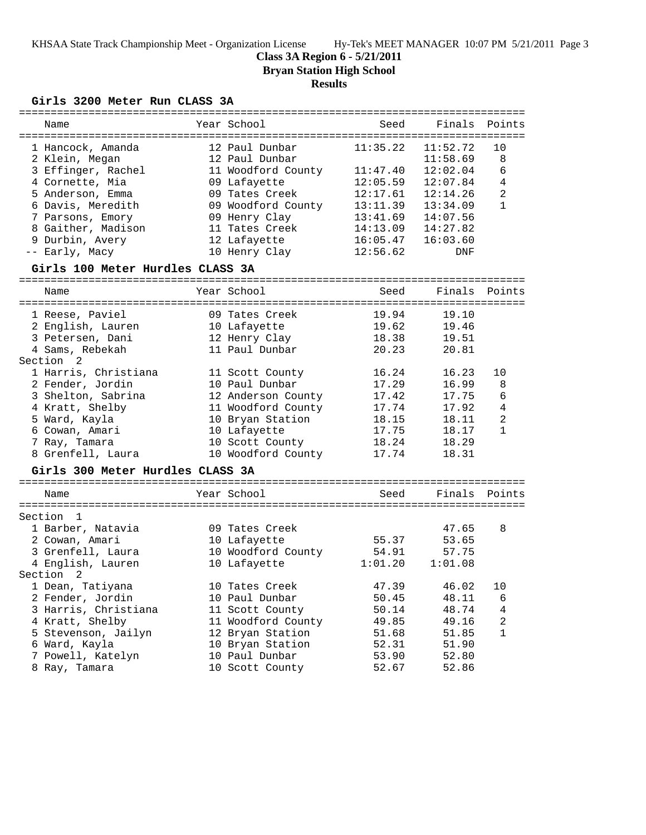## **Class 3A Region 6 - 5/21/2011**

**Bryan Station High School**

# **Results**

## **Girls 3200 Meter Run CLASS 3A**

| Name                             | Year School        | Seed     | Finals   | Points         |
|----------------------------------|--------------------|----------|----------|----------------|
| 1 Hancock, Amanda                | 12 Paul Dunbar     | 11:35.22 | 11:52.72 | 10             |
| 2 Klein, Megan                   | 12 Paul Dunbar     |          | 11:58.69 | 8              |
| 3 Effinger, Rachel               | 11 Woodford County | 11:47.40 | 12:02.04 | 6              |
| 4 Cornette, Mia                  | 09 Lafayette       | 12:05.59 | 12:07.84 | $\overline{4}$ |
| 5 Anderson, Emma                 | 09 Tates Creek     | 12:17.61 | 12:14.26 | $\overline{a}$ |
| 6 Davis, Meredith                | 09 Woodford County | 13:11.39 | 13:34.09 | 1              |
| 7 Parsons, Emory                 | 09 Henry Clay      | 13:41.69 | 14:07.56 |                |
| 8 Gaither, Madison               | 11 Tates Creek     | 14:13.09 | 14:27.82 |                |
| 9 Durbin, Avery                  | 12 Lafayette       | 16:05.47 | 16:03.60 |                |
| -- Early, Macy                   | 10 Henry Clay      | 12:56.62 | DNF      |                |
| Girls 100 Meter Hurdles CLASS 3A |                    |          |          |                |
| Name                             | Year School        | Seed     | Finals   | Points         |
| 1 Reese, Paviel                  | 09 Tates Creek     | 19.94    | 19.10    |                |
| 2 English, Lauren                | 10 Lafayette       | 19.62    | 19.46    |                |
| 3 Petersen, Dani                 | 12 Henry Clay      | 18.38    | 19.51    |                |
| 4 Sams, Rebekah                  | 11 Paul Dunbar     | 20.23    | 20.81    |                |
| Section <sub>2</sub>             |                    |          |          |                |
| 1 Harris, Christiana             | 11 Scott County    | 16.24    | 16.23    | 10             |
| 2 Fender, Jordin                 | 10 Paul Dunbar     | 17.29    | 16.99    | 8              |
| 3 Shelton, Sabrina               | 12 Anderson County | 17.42    | 17.75    | 6              |
| 4 Kratt, Shelby                  | 11 Woodford County | 17.74    | 17.92    | 4              |
| 5 Ward, Kayla                    | 10 Bryan Station   | 18.15    | 18.11    | $\overline{2}$ |
| 6 Cowan, Amari                   | 10 Lafayette       | 17.75    | 18.17    | $\mathbf{1}$   |
| 7 Ray, Tamara                    | 10 Scott County    | 18.24    | 18.29    |                |
| 8 Grenfell, Laura                | 10 Woodford County | 17.74    | 18.31    |                |
| Girls 300 Meter Hurdles CLASS 3A |                    |          |          |                |
| Name                             | Year School        | Seed     | Finals   | Points         |
|                                  |                    |          |          |                |
| Section<br>1                     |                    |          |          |                |
| 1 Barber, Natavia                | 09 Tates Creek     |          | 47.65    | 8              |
| 2 Cowan, Amari                   | 10 Lafayette       | 55.37    | 53.65    |                |
| 3 Grenfell, Laura                | 10 Woodford County | 54.91    | 57.75    |                |
| 4 English, Lauren                | 10 Lafayette       | 1:01.20  | 1:01.08  |                |
| Section<br>2                     |                    |          |          |                |
| 1 Dean, Tatiyana                 | 10 Tates Creek     | 47.39    | 46.02    | 10             |
| 2 Fender, Jordin                 | 10 Paul Dunbar     | 50.45    | 48.11    | 6              |
| 3 Harris, Christiana             | 11 Scott County    | 50.14    | 48.74    | 4              |
| 4 Kratt, Shelby                  | 11 Woodford County | 49.85    | 49.16    | 2              |
| 5 Stevenson, Jailyn              | 12 Bryan Station   | 51.68    | 51.85    | $\mathbf{1}$   |
| 6 Ward, Kayla                    | 10 Bryan Station   | 52.31    | 51.90    |                |
| 7 Powell, Katelyn                | 10 Paul Dunbar     | 53.90    | 52.80    |                |
| 8 Ray, Tamara                    | 10 Scott County    | 52.67    | 52.86    |                |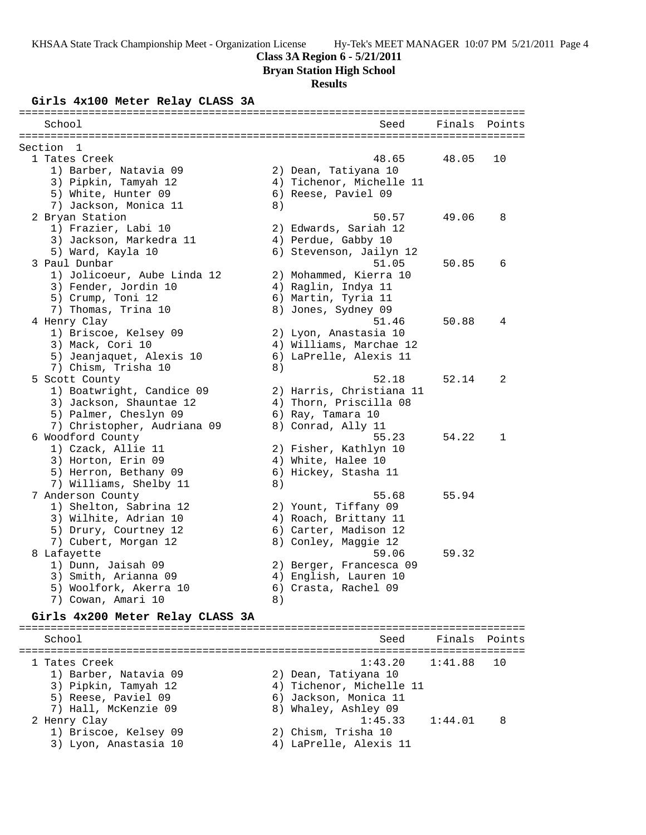## **Class 3A Region 6 - 5/21/2011**

**Bryan Station High School**

#### **Results**

### **Girls 4x100 Meter Relay CLASS 3A**

| School                           |    | Seed                     | Finals | Points       |
|----------------------------------|----|--------------------------|--------|--------------|
| Section 1                        |    |                          |        |              |
| 1 Tates Creek                    |    | 48.65                    | 48.05  | 10           |
| 1) Barber, Natavia 09            |    | 2) Dean, Tatiyana 10     |        |              |
| 3) Pipkin, Tamyah 12             |    | 4) Tichenor, Michelle 11 |        |              |
| 5) White, Hunter 09              |    | 6) Reese, Paviel 09      |        |              |
| 7) Jackson, Monica 11            | 8) |                          |        |              |
| 2 Bryan Station                  |    | 50.57                    | 49.06  | 8            |
| 1) Frazier, Labi 10              |    | 2) Edwards, Sariah 12    |        |              |
| 3) Jackson, Markedra 11          |    | 4) Perdue, Gabby 10      |        |              |
| 5) Ward, Kayla 10                |    | 6) Stevenson, Jailyn 12  |        |              |
| 3 Paul Dunbar                    |    | 51.05                    | 50.85  | 6            |
| 1) Jolicoeur, Aube Linda 12      |    | 2) Mohammed, Kierra 10   |        |              |
| 3) Fender, Jordin 10             |    | 4) Raglin, Indya 11      |        |              |
| 5) Crump, Toni 12                |    | 6) Martin, Tyria 11      |        |              |
| 7) Thomas, Trina 10              |    | 8) Jones, Sydney 09      |        |              |
| 4 Henry Clay                     |    | 51.46                    | 50.88  | 4            |
| 1) Briscoe, Kelsey 09            |    | 2) Lyon, Anastasia 10    |        |              |
| 3) Mack, Cori 10                 |    | 4) Williams, Marchae 12  |        |              |
| 5) Jeanjaquet, Alexis 10         |    | 6) LaPrelle, Alexis 11   |        |              |
| 7) Chism, Trisha 10              | 8) |                          |        |              |
| 5 Scott County                   |    | 52.18                    | 52.14  | 2            |
| 1) Boatwright, Candice 09        |    | 2) Harris, Christiana 11 |        |              |
| 3) Jackson, Shauntae 12          |    | 4) Thorn, Priscilla 08   |        |              |
| 5) Palmer, Cheslyn 09            |    | 6) Ray, Tamara 10        |        |              |
| 7) Christopher, Audriana 09      |    | 8) Conrad, Ally 11       |        |              |
| 6 Woodford County                |    | 55.23                    | 54.22  | $\mathbf{1}$ |
| 1) Czack, Allie 11               |    | 2) Fisher, Kathlyn 10    |        |              |
| 3) Horton, Erin 09               |    | 4) White, Halee 10       |        |              |
| 5) Herron, Bethany 09            |    | 6) Hickey, Stasha 11     |        |              |
| 7) Williams, Shelby 11           | 8) |                          |        |              |
| 7 Anderson County                |    | 55.68                    | 55.94  |              |
| 1) Shelton, Sabrina 12           |    | 2) Yount, Tiffany 09     |        |              |
| 3) Wilhite, Adrian 10            |    | 4) Roach, Brittany 11    |        |              |
| 5) Drury, Courtney 12            |    | 6) Carter, Madison 12    |        |              |
| 7) Cubert, Morgan 12             |    | 8) Conley, Maggie 12     |        |              |
| 8 Lafayette                      |    | 59.06                    | 59.32  |              |
| 1) Dunn, Jaisah 09               |    | 2) Berger, Francesca 09  |        |              |
| 3) Smith, Arianna 09             |    | 4) English, Lauren 10    |        |              |
| 5) Woolfork, Akerra 10           |    | 6) Crasta, Rachel 09     |        |              |
| 7) Cowan, Amari 10               | 8) |                          |        |              |
| Girls 4x200 Meter Relay CLASS 3A |    |                          |        |              |

================================================================================ School School Seed Finals Points ================================================================================ 1 Tates Creek 1:43.20 1:41.88 10 1) Barber, Natavia 09 2) Dean, Tatiyana 10 3) Pipkin, Tamyah 12 4) Tichenor, Michelle 11 5) Reese, Paviel 09 6) Jackson, Monica 11 7) Hall, McKenzie 09 8) Whaley, Ashley 09 2 Henry Clay 1:45.33 1:44.01 8 1) Briscoe, Kelsey 09 2) Chism, Trisha 10 3) Lyon, Anastasia 10 4) LaPrelle, Alexis 11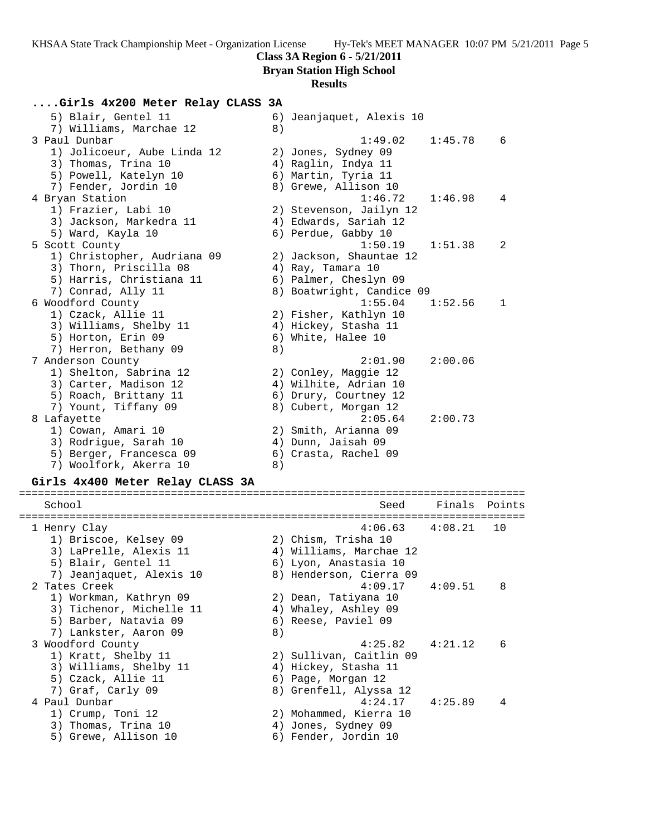**Bryan Station High School**

## **Results**

# **....Girls 4x200 Meter Relay CLASS 3A**

| 5) Blair, Gentel 11         | 6) Jeanjaquet, Alexis 10           |
|-----------------------------|------------------------------------|
| 7) Williams, Marchae 12     | 8)                                 |
| 3 Paul Dunbar               | 1:45.78<br>1:49.02<br>6            |
| 1) Jolicoeur, Aube Linda 12 | 2) Jones, Sydney 09                |
| 3) Thomas, Trina 10         | 4) Raglin, Indya 11                |
| 5) Powell, Katelyn 10       | 6) Martin, Tyria 11                |
| 7) Fender, Jordin 10        | 8) Grewe, Allison 10               |
| 4 Bryan Station             | 1:46.72<br>1:46.98<br>4            |
| 1) Frazier, Labi 10         | 2) Stevenson, Jailyn 12            |
| 3) Jackson, Markedra 11     | 4) Edwards, Sariah 12              |
| 5) Ward, Kayla 10           | 6) Perdue, Gabby 10                |
| 5 Scott County              | 1:50.19<br>1:51.38<br>2            |
| 1) Christopher, Audriana 09 | 2) Jackson, Shauntae 12            |
| 3) Thorn, Priscilla 08      | 4) Ray, Tamara 10                  |
| 5) Harris, Christiana 11    | 6) Palmer, Cheslyn 09              |
| 7) Conrad, Ally 11          | 8) Boatwright, Candice 09          |
| 6 Woodford County           | 1:55.04<br>1:52.56<br>$\mathbf{1}$ |
| 1) Czack, Allie 11          | 2) Fisher, Kathlyn 10              |
| 3) Williams, Shelby 11      | 4) Hickey, Stasha 11               |
| 5) Horton, Erin 09          | 6) White, Halee 10                 |
| 7) Herron, Bethany 09       | 8)                                 |
| 7 Anderson County           | 2:01.90<br>2:00.06                 |
| 1) Shelton, Sabrina 12      | 2) Conley, Maggie 12               |
| 3) Carter, Madison 12       | 4) Wilhite, Adrian 10              |
| 5) Roach, Brittany 11       | 6) Drury, Courtney 12              |
| 7) Yount, Tiffany 09        | 8) Cubert, Morgan 12               |
| 8 Lafayette                 | 2:05.64<br>2:00.73                 |
| 1) Cowan, Amari 10          | 2) Smith, Arianna 09               |
| 3) Rodrigue, Sarah 10       | 4) Dunn, Jaisah 09                 |
| 5) Berger, Francesca 09     | 6) Crasta, Rachel 09               |
| 7) Woolfork, Akerra 10      | 8)                                 |

## **Girls 4x400 Meter Relay CLASS 3A**

| School                   |    | Seed                    | Finals Points |    |
|--------------------------|----|-------------------------|---------------|----|
| 1 Henry Clay             |    | $4:06.63$ $4:08.21$     |               | 10 |
| 1) Briscoe, Kelsey 09    |    | 2) Chism, Trisha 10     |               |    |
| 3) LaPrelle, Alexis 11   |    | 4) Williams, Marchae 12 |               |    |
| 5) Blair, Gentel 11      |    | 6) Lyon, Anastasia 10   |               |    |
| 7) Jeanjaquet, Alexis 10 |    | 8) Henderson, Cierra 09 |               |    |
| 2 Tates Creek            |    | $4:09.17$ $4:09.51$     |               | 8  |
| 1) Workman, Kathryn 09   |    | 2) Dean, Tatiyana 10    |               |    |
| 3) Tichenor, Michelle 11 |    | 4) Whaley, Ashley 09    |               |    |
| 5) Barber, Natavia 09    |    | 6) Reese, Paviel 09     |               |    |
| 7) Lankster, Aaron 09    | 8) |                         |               |    |
| 3 Woodford County        |    | $4:25.82$ $4:21.12$     |               | 6  |
| 1) Kratt, Shelby 11      |    | 2) Sullivan, Caitlin 09 |               |    |
| 3) Williams, Shelby 11   |    | 4) Hickey, Stasha 11    |               |    |
| 5) Czack, Allie 11       |    | 6) Page, Morgan 12      |               |    |
| 7) Graf, Carly 09        |    | 8) Grenfell, Alyssa 12  |               |    |
| 4 Paul Dunbar            |    | $4:24.17$ $4:25.89$     |               | 4  |
| 1) Crump, Toni 12        |    | 2) Mohammed, Kierra 10  |               |    |
| 3) Thomas, Trina 10      |    | 4) Jones, Sydney 09     |               |    |
| 5) Grewe, Allison 10     |    | 6) Fender, Jordin 10    |               |    |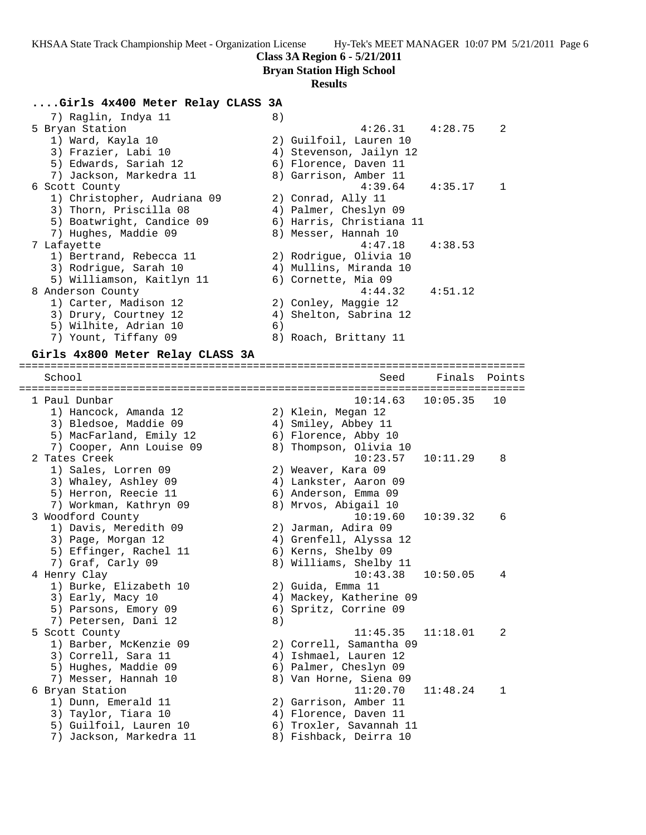**Bryan Station High School**

#### **Results**

### **....Girls 4x400 Meter Relay CLASS 3A**

| 7) Raglin, Indya 11         | 8) |                          |                |
|-----------------------------|----|--------------------------|----------------|
| 5 Bryan Station             |    | $4:26.31$ $4:28.75$ 2    |                |
| 1) Ward, Kayla 10           |    | 2) Guilfoil, Lauren 10   |                |
| 3) Frazier, Labi 10         |    | 4) Stevenson, Jailyn 12  |                |
| 5) Edwards, Sariah 12       |    | 6) Florence, Daven 11    |                |
| 7) Jackson, Markedra 11     |    | 8) Garrison, Amber 11    |                |
| 6 Scott County              |    | $4:39.64$ $4:35.17$      | $\overline{1}$ |
| 1) Christopher, Audriana 09 |    | 2) Conrad, Ally 11       |                |
| 3) Thorn, Priscilla 08      |    | 4) Palmer, Cheslyn 09    |                |
| 5) Boatwright, Candice 09   |    | 6) Harris, Christiana 11 |                |
| 7) Hughes, Maddie 09        |    | 8) Messer, Hannah 10     |                |
| 7 Lafayette                 |    | $4:47.18$ $4:38.53$      |                |
| 1) Bertrand, Rebecca 11     |    | 2) Rodrigue, Olivia 10   |                |
| 3) Rodrique, Sarah 10       |    | 4) Mullins, Miranda 10   |                |
| 5) Williamson, Kaitlyn 11   |    | 6) Cornette, Mia 09      |                |
| 8 Anderson County           |    | $4:44.32$ $4:51.12$      |                |
| 1) Carter, Madison 12       |    | 2) Conley, Maggie 12     |                |
| 3) Drury, Courtney 12       |    | 4) Shelton, Sabrina 12   |                |
| 5) Wilhite, Adrian 10       | 6) |                          |                |
| Yount, Tiffany 09<br>7)     |    | 8) Roach, Brittany 11    |                |
|                             |    |                          |                |

## **Girls 4x800 Meter Relay CLASS 3A**

================================================================================ School School Seed Finals Points ================================================================================ 1 Paul Dunbar 10:14.63 10:05.35 10 1) Hancock, Amanda 12 2) Klein, Megan 12 3) Bledsoe, Maddie 09 4) Smiley, Abbey 11 5) MacFarland, Emily 12 (6) Florence, Abby 10 7) Cooper, Ann Louise 09 8) Thompson, Olivia 10 2 Tates Creek 10:23.57 10:11.29 8 1) Sales, Lorren 09 2) Weaver, Kara 09 3) Whaley, Ashley 09 4) Lankster, Aaron 09 5) Herron, Reecie 11 6) Anderson, Emma 09 7) Workman, Kathryn 09 8) Mrvos, Abigail 10 3 Woodford County 10:19.60 10:39.32 6 1) Davis, Meredith 09 2) Jarman, Adira 09 3) Page, Morgan 12 4) Grenfell, Alyssa 12 5) Effinger, Rachel 11 6) Kerns, Shelby 09 7) Graf, Carly 09 8) Williams, Shelby 11 4 Henry Clay 10:43.38 10:50.05 4 1) Burke, Elizabeth 10 2) Guida, Emma 11 3) Early, Macy 10 4) Mackey, Katherine 09 5) Parsons, Emory 09 6) Spritz, Corrine 09 7) Petersen, Dani 12 (8) 5 Scott County 11:45.35 11:18.01 2 1) Barber, McKenzie 09 2) Correll, Samantha 09 3) Correll, Sara 11 4) Ishmael, Lauren 12 5) Hughes, Maddie 09 6) Palmer, Cheslyn 09 7) Messer, Hannah 10 8) Van Horne, Siena 09 6 Bryan Station 11:20.70 11:48.24 1 1) Dunn, Emerald 11 2) Garrison, Amber 11 3) Taylor, Tiara 10 4) Florence, Daven 11 5) Guilfoil, Lauren 10 6) Troxler, Savannah 11 7) Jackson, Markedra 11 8) Fishback, Deirra 10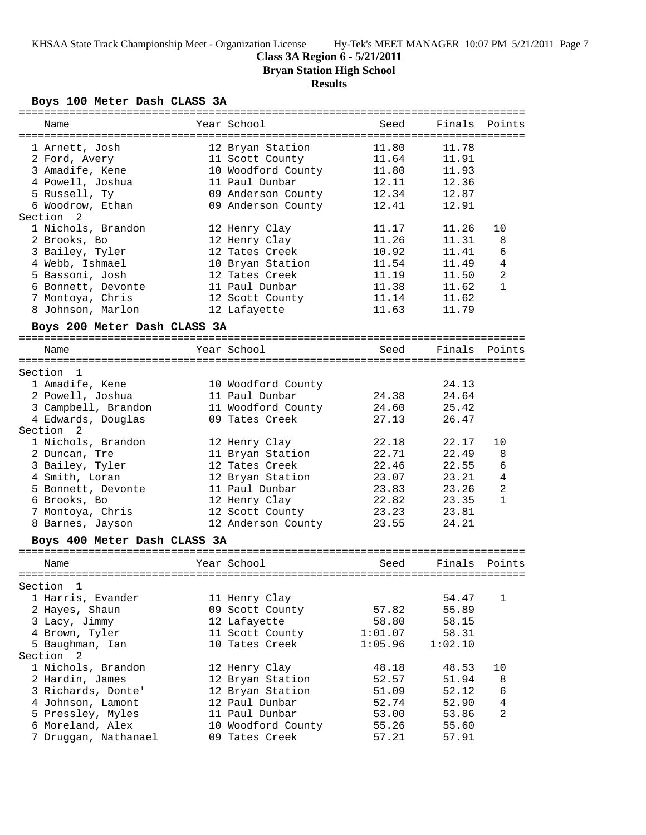# **Class 3A Region 6 - 5/21/2011**

**Bryan Station High School**

# **Results**

## **Boys 100 Meter Dash CLASS 3A**

| Name                         | Year School        | Seed    | Finals  | Points         |
|------------------------------|--------------------|---------|---------|----------------|
|                              |                    |         |         |                |
| 1 Arnett, Josh               | 12 Bryan Station   | 11.80   | 11.78   |                |
| 2 Ford, Avery                | 11 Scott County    | 11.64   | 11.91   |                |
| 3 Amadife, Kene              | 10 Woodford County | 11.80   | 11.93   |                |
| 4 Powell, Joshua             | 11 Paul Dunbar     | 12.11   | 12.36   |                |
| 5 Russell, Ty                | 09 Anderson County | 12.34   | 12.87   |                |
| 6 Woodrow, Ethan             | 09 Anderson County | 12.41   | 12.91   |                |
| Section<br>2                 |                    |         |         |                |
| 1 Nichols, Brandon           | 12 Henry Clay      | 11.17   | 11.26   | 10             |
| 2 Brooks, Bo                 | 12 Henry Clay      | 11.26   | 11.31   | 8              |
| 3 Bailey, Tyler              | 12 Tates Creek     | 10.92   | 11.41   | 6              |
| 4 Webb, Ishmael              | 10 Bryan Station   | 11.54   | 11.49   | 4              |
| 5 Bassoni, Josh              | 12 Tates Creek     | 11.19   | 11.50   | 2              |
| 6 Bonnett, Devonte           | 11 Paul Dunbar     | 11.38   | 11.62   | $\mathbf{1}$   |
| 7 Montoya, Chris             | 12 Scott County    | 11.14   | 11.62   |                |
| 8 Johnson, Marlon            | 12 Lafayette       | 11.63   | 11.79   |                |
|                              |                    |         |         |                |
| Boys 200 Meter Dash CLASS 3A |                    |         |         |                |
| Name                         | Year School        | Seed    | Finals  | Points         |
|                              |                    |         |         |                |
| Section<br>$\mathbf{1}$      |                    |         |         |                |
| 1 Amadife, Kene              | 10 Woodford County |         | 24.13   |                |
| 2 Powell, Joshua             | 11 Paul Dunbar     | 24.38   | 24.64   |                |
| 3 Campbell, Brandon          | 11 Woodford County | 24.60   | 25.42   |                |
| 4 Edwards, Douglas           | 09 Tates Creek     | 27.13   | 26.47   |                |
| Section<br>- 2               |                    |         |         |                |
| 1 Nichols, Brandon           |                    | 22.18   | 22.17   | 10             |
|                              | 12 Henry Clay      | 22.71   | 22.49   | 8              |
| 2 Duncan, Tre                | 11 Bryan Station   |         |         |                |
| 3 Bailey, Tyler              | 12 Tates Creek     | 22.46   | 22.55   | 6              |
| 4 Smith, Loran               | 12 Bryan Station   | 23.07   | 23.21   | 4              |
| 5 Bonnett, Devonte           | 11 Paul Dunbar     | 23.83   | 23.26   | 2              |
| 6 Brooks, Bo                 | 12 Henry Clay      | 22.82   | 23.35   | $\mathbf{1}$   |
| 7 Montoya, Chris             | 12 Scott County    | 23.23   | 23.81   |                |
| 8 Barnes, Jayson             | 12 Anderson County | 23.55   | 24.21   |                |
| Boys 400 Meter Dash CLASS 3A |                    |         |         |                |
|                              |                    |         |         |                |
| Name                         | Year School        | Seed    | Finals  | Points         |
|                              |                    |         |         |                |
| Section<br>1                 |                    |         |         |                |
| 1 Harris, Evander            | 11 Henry Clay      |         | 54.47   | 1              |
| 2 Hayes, Shaun               | 09 Scott County    | 57.82   | 55.89   |                |
| 3 Lacy, Jimmy                | 12 Lafayette       | 58.80   | 58.15   |                |
| 4 Brown, Tyler               | 11 Scott County    | 1:01.07 | 58.31   |                |
| 5 Baughman, Ian              | 10 Tates Creek     | 1:05.96 | 1:02.10 |                |
| Section 2                    |                    |         |         |                |
| 1 Nichols, Brandon           | 12 Henry Clay      | 48.18   | 48.53   | 10             |
| 2 Hardin, James              | 12 Bryan Station   | 52.57   | 51.94   | 8              |
| 3 Richards, Donte'           | 12 Bryan Station   | 51.09   | 52.12   | 6              |
| 4 Johnson, Lamont            | 12 Paul Dunbar     | 52.74   | 52.90   | 4              |
| 5 Pressley, Myles            | 11 Paul Dunbar     | 53.00   | 53.86   | $\overline{a}$ |
|                              |                    |         |         |                |
| 6 Moreland, Alex             | 10 Woodford County | 55.26   | 55.60   |                |
| 7 Druggan, Nathanael         | 09 Tates Creek     | 57.21   | 57.91   |                |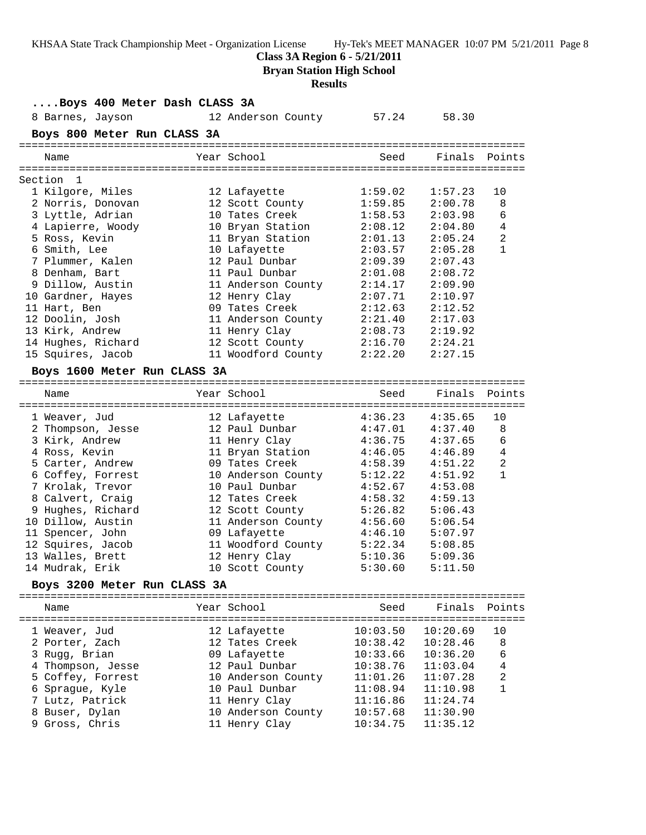**Class 3A Region 6 - 5/21/2011**

**Bryan Station High School**

## **Results**

| Boys 400 Meter Dash CLASS 3A |  |                                        |          |               |                |
|------------------------------|--|----------------------------------------|----------|---------------|----------------|
| 8 Barnes, Jayson             |  | 12 Anderson County 57.24               |          | 58.30         |                |
| Boys 800 Meter Run CLASS 3A  |  |                                        |          |               |                |
|                              |  |                                        |          |               |                |
| Name                         |  | Year School                            | Seed     | Finals Points |                |
|                              |  |                                        |          |               |                |
| Section 1                    |  |                                        |          |               |                |
| 1 Kilgore, Miles             |  | 12 Lafayette                           | 1:59.02  | 1:57.23       | 10             |
| 2 Norris, Donovan            |  | 12 Scott County                        | 1:59.85  | 2:00.78       | 8              |
| 3 Lyttle, Adrian             |  | 10 Tates Creek                         | 1:58.53  | 2:03.98       | 6              |
| 4 Lapierre, Woody            |  | 10 Bryan Station                       | 2:08.12  | 2:04.80       | $\overline{4}$ |
| 5 Ross, Kevin                |  | 11 Bryan Station                       | 2:01.13  | 2:05.24       | 2              |
| 6 Smith, Lee                 |  | 10 Lafayette                           | 2:03.57  | 2:05.28       | $\mathbf{1}$   |
| 7 Plummer, Kalen             |  | 12 Paul Dunbar                         | 2:09.39  | 2:07.43       |                |
| 8 Denham, Bart               |  | 11 Paul Dunbar                         | 2:01.08  | 2:08.72       |                |
| 9 Dillow, Austin             |  | 11 Anderson County                     | 2:14.17  | 2:09.90       |                |
| 10 Gardner, Hayes            |  | 12 Henry Clay                          | 2:07.71  | 2:10.97       |                |
| 11 Hart, Ben                 |  | 09 Tates Creek                         | 2:12.63  | 2:12.52       |                |
| 12 Doolin, Josh              |  | 11 Anderson County                     | 2:21.40  | 2:17.03       |                |
| 13 Kirk, Andrew              |  |                                        | 2:08.73  | 2:19.92       |                |
| 14 Hughes, Richard           |  | 11 Henry Clay<br>12 Scott County<br>11 | 2:16.70  | 2:24.21       |                |
| 15 Squires, Jacob            |  | 11 Woodford County 2:22.20             |          | 2:27.15       |                |
| Boys 1600 Meter Run CLASS 3A |  |                                        |          |               |                |
|                              |  |                                        |          |               |                |
| Name                         |  | Year School                            | Seed     | Finals Points |                |
|                              |  |                                        |          |               |                |
| 1 Weaver, Jud                |  | 12 Lafayette                           | 4:36.23  | 4:35.65       | 10             |
| 2 Thompson, Jesse            |  | 12 Paul Dunbar                         | 4:47.01  | 4:37.40       | 8              |
| 3 Kirk, Andrew               |  | 11 Henry Clay                          | 4:36.75  | 4:37.65       | $\epsilon$     |
| 4 Ross, Kevin                |  | 11 Bryan Station                       | 4:46.05  | 4:46.89       | $\overline{4}$ |
| 5 Carter, Andrew             |  | 09 Tates Creek                         | 4:58.39  | 4:51.22       | $\overline{2}$ |
| 6 Coffey, Forrest            |  | 10 Anderson County                     | 5:12.22  | 4:51.92       | $\mathbf{1}$   |
| 7 Krolak, Trevor             |  | 10 Paul Dunbar                         | 4:52.67  | 4:53.08       |                |
| 8 Calvert, Craig             |  | 12 Tates Creek                         | 4:58.32  | 4:59.13       |                |
| 9 Hughes, Richard            |  | 12 Scott County                        | 5:26.82  | 5:06.43       |                |
| 10 Dillow, Austin            |  | 11 Anderson County                     | 4:56.60  | 5:06.54       |                |
| 11 Spencer, John             |  | 09 Lafayette                           | 4:46.10  | 5:07.97       |                |
| 12 Squires, Jacob            |  | 11 Woodford County                     | 5:22.34  | 5:08.85       |                |
| 13 Walles, Brett             |  | 12 Henry Clay                          | 5:10.36  | 5:09.36       |                |
| 14 Mudrak, Erik              |  | 10 Scott County                        | 5:30.60  | 5:11.50       |                |
| Boys 3200 Meter Run CLASS 3A |  |                                        |          |               |                |
|                              |  |                                        |          |               |                |
| Name                         |  | Year School                            | Seed     | Finals        | Points         |
|                              |  |                                        |          |               |                |
| 1 Weaver, Jud                |  | 12 Lafayette                           | 10:03.50 | 10:20.69      | 10             |
| 2 Porter, Zach               |  | 12 Tates Creek                         | 10:38.42 | 10:28.46      | 8              |
| 3 Rugg, Brian                |  | 09 Lafayette                           | 10:33.66 | 10:36.20      | 6              |
| 4 Thompson, Jesse            |  | 12 Paul Dunbar                         | 10:38.76 | 11:03.04      | 4              |
| 5 Coffey, Forrest            |  | 10 Anderson County                     | 11:01.26 | 11:07.28      | 2              |
| 6 Sprague, Kyle              |  | 10 Paul Dunbar                         | 11:08.94 | 11:10.98      | $\mathbf{1}$   |
| 7 Lutz, Patrick              |  | 11 Henry Clay                          | 11:16.86 | 11:24.74      |                |
| 8 Buser, Dylan               |  | 10 Anderson County                     | 10:57.68 | 11:30.90      |                |
| 9 Gross, Chris               |  | 11 Henry Clay                          | 10:34.75 | 11:35.12      |                |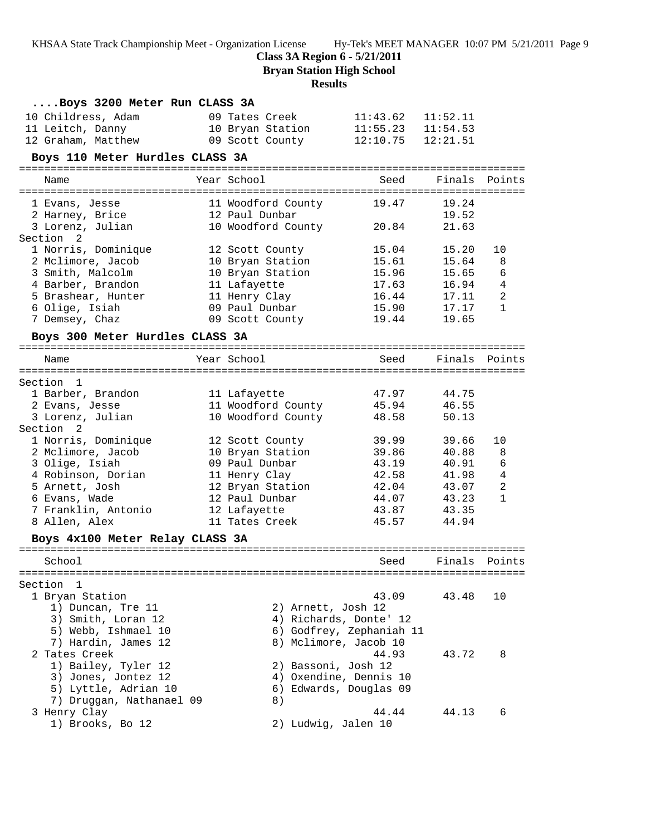**Class 3A Region 6 - 5/21/2011**

**Bryan Station High School**

### **Results**

| Boys 3200 Meter Run CLASS 3A    |                    |                          |          |                |
|---------------------------------|--------------------|--------------------------|----------|----------------|
| 10 Childress, Adam              | 09 Tates Creek     | 11:43.62                 | 11:52.11 |                |
| 11 Leitch, Danny                | 10 Bryan Station   | $11:55.23$ $11:54.53$    |          |                |
| 12 Graham, Matthew              | 09 Scott County    | 12:10.75                 | 12:21.51 |                |
| Boys 110 Meter Hurdles CLASS 3A |                    |                          |          |                |
|                                 |                    |                          |          |                |
| Name                            | Year School        | Seed                     | Finals   | Points         |
| 1 Evans, Jesse                  | 11 Woodford County | 19.47                    | 19.24    |                |
| 2 Harney, Brice                 | 12 Paul Dunbar     |                          | 19.52    |                |
| 3 Lorenz, Julian                | 10 Woodford County | 20.84                    | 21.63    |                |
| Section 2                       |                    |                          |          |                |
| 1 Norris, Dominique             | 12 Scott County    | 15.04                    | 15.20    | 10             |
| 2 Mclimore, Jacob               | 10 Bryan Station   | 15.61                    | 15.64    | 8              |
| 3 Smith, Malcolm                | 10 Bryan Station   | 15.96                    | 15.65    | 6              |
| 4 Barber, Brandon               | 11 Lafayette       | 17.63                    | 16.94    | 4              |
| 5 Brashear, Hunter              | 11 Henry Clay      | 16.44                    | 17.11    | $\overline{a}$ |
| 6 Olige, Isiah                  | 09 Paul Dunbar     | 15.90                    | 17.17    | $\mathbf{1}$   |
| 7 Demsey, Chaz                  | 09 Scott County    | 19.44                    | 19.65    |                |
| Boys 300 Meter Hurdles CLASS 3A |                    |                          |          |                |
| Name                            | Year School        | Seed                     |          | Finals Points  |
|                                 |                    |                          |          |                |
| Section 1                       |                    |                          |          |                |
| 1 Barber, Brandon               | 11 Lafayette       | 47.97                    | 44.75    |                |
| 2 Evans, Jesse                  | 11 Woodford County | 45.94                    | 46.55    |                |
| 3 Lorenz, Julian                | 10 Woodford County | 48.58                    | 50.13    |                |
| Section 2                       |                    |                          |          |                |
| 1 Norris, Dominique             | 12 Scott County    | 39.99                    | 39.66    | 10             |
| 2 Mclimore, Jacob               | 10 Bryan Station   | 39.86                    | 40.88    | 8              |
| 3 Olige, Isiah                  | 09 Paul Dunbar     | 43.19                    | 40.91    | 6              |
| 4 Robinson, Dorian              | 11 Henry Clay      | 42.58                    | 41.98    | 4              |
| 5 Arnett, Josh                  | 12 Bryan Station   | 42.04                    | 43.07    | 2              |
| 6 Evans, Wade                   | 12 Paul Dunbar     | 44.07                    | 43.23    | $\mathbf{1}$   |
| 7 Franklin, Antonio             | 12 Lafayette       | 43.87                    | 43.35    |                |
| 8 Allen, Alex                   | 11 Tates Creek     | 45.57                    | 44.94    |                |
| Boys 4x100 Meter Relay CLASS 3A |                    |                          |          |                |
| School                          |                    | Seed Finals Points       |          |                |
|                                 |                    |                          |          |                |
| Section<br>1                    |                    |                          |          |                |
| 1 Bryan Station                 |                    | 43.09                    | 43.48    | 10             |
| 1) Duncan, Tre 11               |                    | 2) Arnett, Josh 12       |          |                |
| 3) Smith, Loran 12              |                    | 4) Richards, Donte' 12   |          |                |
| 5) Webb, Ishmael 10             |                    | 6) Godfrey, Zephaniah 11 |          |                |
| 7) Hardin, James 12             |                    | 8) Mclimore, Jacob 10    |          |                |
| 2 Tates Creek                   |                    | 44.93                    | 43.72    | 8              |
| 1) Bailey, Tyler 12             |                    | 2) Bassoni, Josh 12      |          |                |
| 3) Jones, Jontez 12             |                    | 4) Oxendine, Dennis 10   |          |                |
| 5) Lyttle, Adrian 10            |                    | 6) Edwards, Douglas 09   |          |                |
| 7) Druggan, Nathanael 09        | 8)                 |                          |          |                |
| 3 Henry Clay                    |                    | 44.44                    | 44.13    | 6              |
| 1) Brooks, Bo 12                |                    | 2) Ludwig, Jalen 10      |          |                |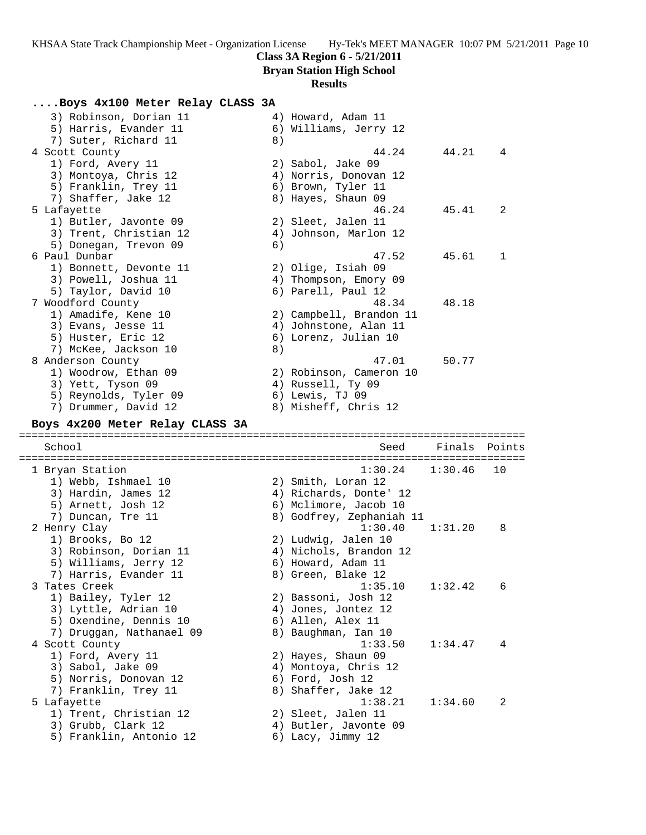**Bryan Station High School**

### **Results**

### **....Boys 4x100 Meter Relay CLASS 3A**

| 3) Robinson, Dorian 11<br>5) Harris, Evander 11<br>7) Suter, Richard 11                                                           | 8) | 4) Howard, Adam 11<br>6) Williams, Jerry 12                                                                                      |         |        |
|-----------------------------------------------------------------------------------------------------------------------------------|----|----------------------------------------------------------------------------------------------------------------------------------|---------|--------|
| 4 Scott County<br>1) Ford, Avery 11<br>3) Montoya, Chris 12<br>5) Franklin, Trey 11<br>7) Shaffer, Jake 12                        |    | 44.24<br>2) Sabol, Jake 09<br>4) Norris, Donovan 12<br>6) Brown, Tyler 11<br>8) Hayes, Shaun 09                                  | 44.21   | 4      |
| 5 Lafayette<br>1) Butler, Javonte 09<br>3) Trent, Christian 12<br>5) Donegan, Trevon 09                                           | 6) | 46.24<br>2) Sleet, Jalen 11<br>4) Johnson, Marlon 12                                                                             | 45.41   | 2      |
| 6 Paul Dunbar<br>1) Bonnett, Devonte 11<br>3) Powell, Joshua 11<br>5) Taylor, David 10                                            |    | 47.52<br>2) Olige, Isiah 09<br>4) Thompson, Emory 09<br>6) Parell, Paul 12                                                       | 45.61   | 1      |
| 7 Woodford County<br>1) Amadife, Kene 10<br>3) Evans, Jesse 11<br>5) Huster, Eric 12<br>7) McKee, Jackson 10                      | 8) | 48.34<br>2) Campbell, Brandon 11<br>4) Johnstone, Alan 11<br>6) Lorenz, Julian 10                                                | 48.18   |        |
| 8 Anderson County<br>1) Woodrow, Ethan 09<br>3) Yett, Tyson 09                                                                    |    | 47.01<br>2) Robinson, Cameron 10<br>4) Russell, Ty 09                                                                            | 50.77   |        |
| 5) Reynolds, Tyler 09<br>7) Drummer, David 12<br>Boys 4x200 Meter Relay CLASS 3A                                                  |    | 6) Lewis, TJ 09<br>8) Misheff, Chris 12                                                                                          |         |        |
| School                                                                                                                            |    | Seed                                                                                                                             | Finals  | Points |
| 1 Bryan Station<br>1) Webb, Ishmael 10<br>3) Hardin, James 12<br>5) Arnett, Josh 12                                               |    | 1:30.24<br>2) Smith, Loran 12<br>4) Richards, Donte' 12<br>6) Mclimore, Jacob 10                                                 | 1:30.46 | 10     |
| 7) Duncan, Tre 11<br>2 Henry Clay<br>1) Brooks, Bo 12<br>3) Robinson, Dorian 11<br>5) Williams, Jerry 12<br>7) Harris, Evander 11 |    | 8) Godfrey, Zephaniah 11<br>1:30.40<br>2) Ludwig, Jalen 10<br>4) Nichols, Brandon 12<br>6) Howard, Adam 11<br>8) Green, Blake 12 | 1:31.20 | 8      |
| 3 Tates Creek<br>1) Bailey, Tyler 12<br>3) Lyttle, Adrian 10<br>5) Oxendine, Dennis 10<br>7) Druggan, Nathanael 09                |    | 1:35.10<br>2) Bassoni, Josh 12<br>4) Jones, Jontez 12<br>6) Allen, Alex 11<br>8) Baughman, Ian 10                                | 1:32.42 | 6      |

- 5) Norris, Donovan 12 (6) Ford, Josh 12 7) Franklin, Trey 11  $\hphantom{\text{a}}$  8) Shaffer, Jake 12
- 5 Lafayette 1:38.21 1:34.60 2
- 1) Trent, Christian 12 2) Sleet, Jalen 11
- 3) Grubb, Clark 12 4) Butler, Javonte 09
- 5) Franklin, Antonio 12 6) Lacy, Jimmy 12
- -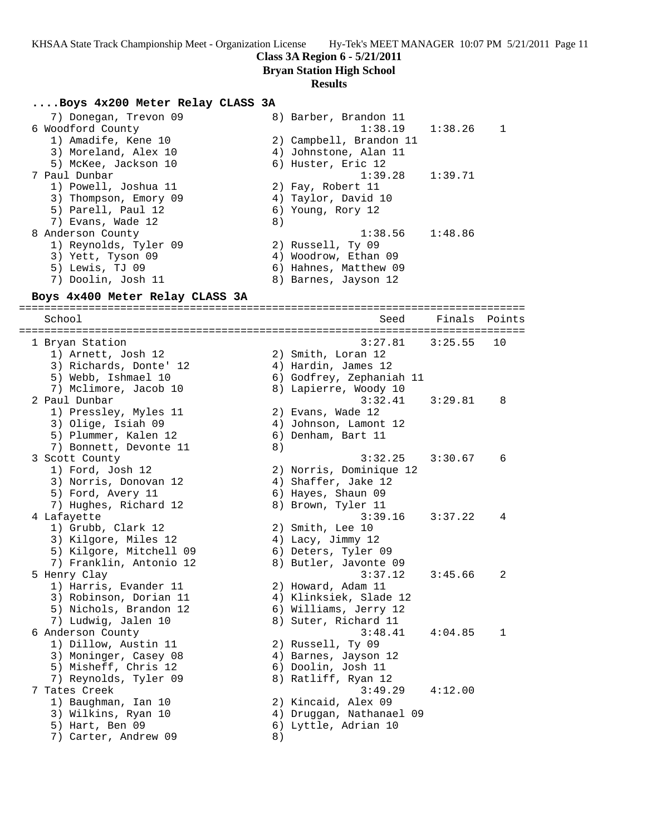### **Class 3A Region 6 - 5/21/2011**

**Bryan Station High School**

#### **Results**

### **....Boys 4x200 Meter Relay CLASS 3A**

| 7) Donegan, Trevon 09 | 8) Barber, Brandon 11   |   |
|-----------------------|-------------------------|---|
| 6 Woodford County     | $1:38.19$ $1:38.26$     | 1 |
| 1) Amadife, Kene 10   | 2) Campbell, Brandon 11 |   |
| 3) Moreland, Alex 10  | 4) Johnstone, Alan 11   |   |
| 5) McKee, Jackson 10  | 6) Huster, Eric 12      |   |
| 7 Paul Dunbar         | $1:39.28$ $1:39.71$     |   |
| 1) Powell, Joshua 11  | 2) Fay, Robert 11       |   |
| 3) Thompson, Emory 09 | 4) Taylor, David 10     |   |
| 5) Parell, Paul 12    | 6) Young, Rory 12       |   |
| 7) Evans, Wade 12     | 8)                      |   |
| 8 Anderson County     | $1:38.56$ $1:48.86$     |   |
| 1) Reynolds, Tyler 09 | 2) Russell, Ty 09       |   |
| 3) Yett, Tyson 09     | 4) Woodrow, Ethan 09    |   |
| 5) Lewis, TJ 09       | 6) Hahnes, Matthew 09   |   |
| 7) Doolin, Josh 11    | 8) Barnes, Jayson 12    |   |

#### **Boys 4x400 Meter Relay CLASS 3A**

================================================================================ School Seed Finals Points ================================================================================ 1 Bryan Station 3:27.81 3:25.55 10 1) Arnett, Josh 12 2) Smith, Loran 12 3) Richards, Donte' 12 4) Hardin, James 12 5) Webb, Ishmael 10 6) Godfrey, Zephaniah 11 7) Mclimore, Jacob 10 8) Lapierre, Woody 10 2 Paul Dunbar 3:32.41 3:29.81 8 1) Pressley, Myles 11 (2) Evans, Wade 12 3) Olige, Isiah 09 4) Johnson, Lamont 12 5) Plummer, Kalen 12 6) Denham, Bart 11 7) Bonnett, Devonte 11 (8) 3 Scott County 3:32.25 3:30.67 6 1) Ford, Josh 12 2) Norris, Dominique 12 3) Norris, Donovan 12 4) Shaffer, Jake 12 5) Ford, Avery 11 6) Hayes, Shaun 09 7) Hughes, Richard 12 8) Brown, Tyler 11 4 Lafayette 3:39.16 3:37.22 4 1) Grubb, Clark 12 2) Smith, Lee 10 3) Kilgore, Miles 12 4) Lacy, Jimmy 12 5) Kilgore, Mitchell 09 (6) Deters, Tyler 09 7) Franklin, Antonio 12 8) Butler, Javonte 09 5 Henry Clay 3:37.12 3:45.66 2 1) Harris, Evander 11 and 2) Howard, Adam 11 3) Robinson, Dorian 11 4) Klinksiek, Slade 12 5) Nichols, Brandon 12 6) Williams, Jerry 12 7) Ludwig, Jalen 10 8) Suter, Richard 11 6 Anderson County 3:48.41 4:04.85 1 1) Dillow, Austin 11 2) Russell, Ty 09 3) Moninger, Casey 08  $\hskip1cm \hskip1cm 4$ ) Barnes, Jayson 12 5) Misheff, Chris 12 (6) Doolin, Josh 11 7) Reynolds, Tyler 09 8) Ratliff, Ryan 12 7 Tates Creek 3:49.29 4:12.00 1) Baughman, Ian 10 2) Kincaid, Alex 09 3) Wilkins, Ryan 10 4) Druggan, Nathanael 09

- 5) Hart, Ben 09 6) Lyttle, Adrian 10
- 7) Carter, Andrew 09 8)